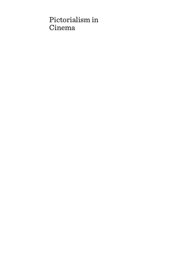# Pictorialism in Cinema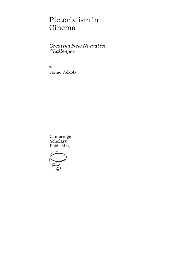# Pictorialism in Cinema:

*Creating New Narrative Challenges*

By Jarmo Valkola

Cambridge **Scholars** Publishing

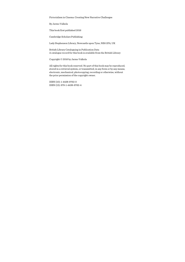Pictorialism in Cinema: Creating New Narrative Challenges

By Jarmo Valkola

This book first published 2016

Cambridge Scholars Publishing

Lady Stephenson Library, Newcastle upon Tyne, NE6 2PA, UK

British Library Cataloguing in Publication Data A catalogue record for this book is available from the British Library

Copyright © 2016 by Jarmo Valkola

All rights for this book reserved. No part of this book may be reproduced, stored in a retrieval system, or transmitted, in any form or by any means, electronic, mechanical, photocopying, recording or otherwise, without the prior permission of the copyright owner.

ISBN (10): 1-4438-9762-0 ISBN (13): 978-1-4438-9762-4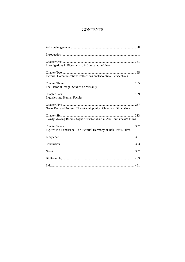## **CONTENTS**

| Investigations in Pictorialism: A Comparative View                    |
|-----------------------------------------------------------------------|
| Pictorial Communication: Reflections on Theoretical Perspectives      |
| The Pictorial Image: Studies on Visuality                             |
| Inquiries into Human Faculty                                          |
| Greek Past and Present: Theo Angelopoulos' Cinematic Dimensions       |
| Slowly Moving Bodies: Signs of Pictorialism in Aki Kaurismäki's Films |
| Figures in a Landscape: The Pictorial Harmony of Béla Tarr's Films    |
|                                                                       |
|                                                                       |
|                                                                       |
|                                                                       |
|                                                                       |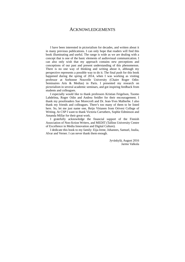### ACKNOWLEDGEMENTS

I have been interested in pictorialism for decades, and written about it in many previous publications. I can only hope that readers will find this book illuminating and useful. The range is wide as we are dealing with a concept that is one of the basic elements of audiovisual communication. I can also only wish that my approach contains new perceptions and conceptions of our past and present understanding of this phenomenon. There is no one way of thinking and writing about it, although my perspective represents a possible way to do it. The final push for this book happened during the spring of 2014, when I was working as visiting professor at Sorbonne Nouvelle University (Chaire Roger Odin: Seminaires Arts & Medias) in Paris. I presented my research on pictorialism in several academic seminars, and got inspiring feedback from students and colleagues.

I especially would like to thank professors Kristian Feigelson, Tuomo Lahdelma, Roger Odin and Andrea Seidler for their encouragement. I thank my proofreaders Sue Morecroft and Dr. Jean-Yves Malherbe. I also thank my friends and colleagues. There's too many of them to be listed here. So, let me just name one, Reijo Virtanen from Orivesi College of Writing. At CSP I want to thank Victoria Carruthers, Sophie Edminson and Amanda Millar for their great work.

I gratefully acknowledge the financial support of the Finnish Association of Non-fiction Writers, and MEDIT (Tallinn University Centre of Excellence in Media Innovation and Digital Culture).

I dedicate this book to my family: Eija-Irene, Johannes, Samuel, Juulia, Alvar and Verner. I can never thank them enough.

> Jyväskylä, August 2016 Jarmo Valkola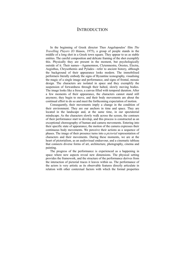### **INTRODUCTION**

In the beginning of Greek director Theo Angelopoulos' film *The Travelling Players* (O thiasos, 1975), a group of people stands in the middle of a long shot in a Greek town square. They appear to us as stable entities. The careful composition and delicate framing of the shot exemplify this. Physically they are present in the moment, but psychologically outside of it. Their names––Agamemnon, Clytemnestra, Orestes, Electra, Aegisthus, Chrysothemis and Pylades––refer to ancient history, although the background of their appearance looks modern. The immobilised performers literally embody the signs of Byzantine iconography, visualising the magic of a single image and performance, and signs of frontal, mosaic design. The characters are isolated in space and they exemplify the suspension of forwardness through their halted, slowly moving bodies. The image looks like a fresco, a canvas filled with temporal duration. After a few moments of their appearance, the characters cannot stand still anymore; they begin to move, and their body movements are about the continual effort to do so and meet the forthcoming expectation of motion.

Consequently, their movements imply a change in the condition of their environment. They are our anchors in time and space. They are located in the landscape and, at the same time, in our spectatorial mindscape. As the characters slowly walk across the screen, the contours of their performance start to develop, and this process is constructed as an exceptional choreography of human and camera movements. Entering into their specific state of appearance, the motion of the camera expresses their continuous body movements. We perceive their actions as a sequence of phases. The image of their presence turns into a *pictorial* representation of characters and their movements. During these moments, we are at the heart of pictorialism, as an audiovisual endeavour, and a cinematic tableau that connects diverse forms of art, architecture, photography, cinema and painting.

The progress of the performance is experienced as a happening in space where new aspects reveal new dimensions. The physical setting provides the framework, and the structure of the performance derives from the interaction of pictorial traces it leaves within us. The performance of the actors is very artistic as its observable features directly articulate in relation with other contextual factors with which the formal properties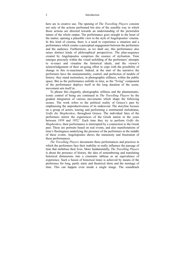here are in creative use. The opening of *The Travelling Players* consists not only of the actions performed but also of the sensible way in which those actions are directed towards an understanding of the pictorialist nature of the whole output. The performance goes straight to the heart of the matter, opening a plausible view to the style of Angelopoulos' cinema. In this kind of cinema, there is a need to experience a situation and a performance which creates a perceptual engagement between the performers and the audience. Furthermore, as we shall see, this performance also raises distinct kinds of philosophical perspectives. The plan-sequence created by Angelopoulos comprises the essence of stylisation. Time emerges precisely within the visual unfolding of the performers' attempts to re-enact and visualise the historical ideals, and the viewer's acknowledgement of their on-going effort to cope with the possibility of change in this re-enactment. Indeed, at the start of the narrative the performers have the monumentality, control, and perfection of models of history: they stand motionless, in photographic stillness, within the public space. But as the performance unfolds in time, as the "living" component of the performance deploys itself in the long duration of the scene, movement sets itself in.

To phrase this elegantly, photographic stillness and the phantasmatic, iconic control of being are continued in *The Travelling Players* by the gradual integration of various movements which shape the following scenes. The work refers to the political reality of Greece's past by emphasising the unproductiveness of its endeavour. The storyline focuses on a group of actors, touring and performing a sentimental melodrama, *Golfo the Shepherdess*, throughout Greece. The individual fates of the performers mirror the experiences of the Greek nation in the years between 1939 and 1952.<sup>I</sup> Each time they try to perform *Golfo the Shepherdess*, their performance is interrupted by a connection to the Greek past. These are portraits based on real events, and also manifestations of time's fleetingness underlying the presence of the performers in the middle of these events. Angelopoulos shows the immensity and frustration of these performances.

*The Travelling Players* documents these performances and practices in which the performers face their inability to really influence the passage of time that mobilises their lives. More fundamentally, *The Travelling Players* is about the presence of history, the idea of remembering and translating historical dimensions into a cinematic tableau as an equivalence of experience. Such a fusion of historical times is achieved by means of the preference for long, partly static and theatrical shots and the montage of time. This can happen even inside a single image. The soundtrack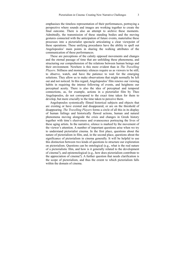emphasises the timeless representation of their performances, portraying a perspective where sounds and images are working together to create the final outcome. There is also an attempt to archive these moments. Admittedly, the transmission of these standing bodies and the moving gestures connected with the anticipation of future events, materialise these processes into a pictorialist spectacle articulating a clear viewpoint of these operations. These unifying procedures have the ability to spell out Angelopoulos' main points in sharing the walking attributes of the communication of these performances.

These are perceptions of the calmly opposed movements and changes and the eternal passage of time that are unfolding these phenomena, and structuring our comprehension of the relations between human beings and their environment. Nowhere is this more evident than in *The Travelling Players*. Stillness and momentary silences require us as viewers to be still, to observe, watch, and have the patience to wait for the emerging solutions. They allow us to make observations that might normally be left out and not noticed. In this regard, Angelopoulos' film renews our viewing habits in requiring the intense following of events, and heightens our perceptual acuity. There is also the idea of perceptual and temporal connections, as, for example, actions in a pictorialist film by Theo Angelopoulos, do not correspond to the exact time taken for them to develop, but more crucially to the time taken to perceive them.

Angelopoulos systemically filmed historical subjects and objects that are existing or have existed and disappeared, or are on the threshold of disappearing. *The Travelling Players* forms a circle of all this in its display of human failings and historically flawed actions, human and natural phenomena moving alongside the crisis and changes in Greek history together with time's elusiveness and evanescence portraying the lives of these aging artists. In the narrative, silence is marked by the movement of the viewer's attention. A number of important questions arise when we try to understand pictorialist cinema. In the first place, questions about the nature of pictorialism in film, and, in the second place, questions about the significance of pictorialism in cinema generally. It will be helpful to use this distinction between two kinds of questions to structure our exploration on pictorialism. Questions can be ontological (e.g., what is the real nature of a pictorialistic film, and how is it generally related to the development of cinema?), and epistemological (e.g., how does pictorialism contribute to the appreciation of cinema?). A further question that needs clarification is the scope of pictorialism, and thus the extent to which pictorialism falls within the domain of cinema.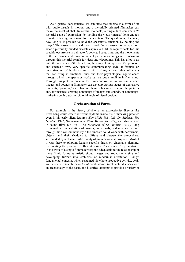As a general consequence, we can state that cinema is a form of art with audio-visuals in motion, and a pictorially-oriented filmmaker can make the most of that. In certain moments, a single film can attain "a pictorial state of expression" by holding the views (images) long enough to make a lasting impression for the spectator. The question is, of course, how long is it possible to hold the spectator's attention by holding the image? The answers vary, and there is no definitive answer to that question, since a pictorially-minded cineaste aspires to fulfil the requirements for this specific occurrence in a director's oeuvre. Space, time, and the movements of the performers and film camera will gain new meanings and dimensions through this pictorial search for ideas and viewpoints. This has a lot to do with the aesthetics of the film form, the atmospheric quality of expression, and cinema's own, very specific communicating style. It features an understanding of the details and context of any art and other influences that can bring in emotional cues and their psychological equivalences through which the spectator works out various stimuli in his/her mind. Through this pictorial concern for film's audiovisual interaction between images and sounds, a filmmaker can develop various stages of expressive moments, "painting" and planning them in her mind, staging the pictures and, for instance, creating a montage of images and sounds, or a montagein-the-image through her pictorial angle of visual design.

#### **Orchestration of Forms**

For example in the history of cinema, an expressionist director like Fritz Lang could create different rhythms inside his filmmaking practice even in his early silent features (*Der Mûde Tod* 1921, *Dr. Mabuse, The Gambler* 1922, *Die Nibelungen* 1924, *Metropolis* 1927), and also later on in sound films (*M* 1931, *The Testament of Dr. Mabuse* 1932). Lang expressed an orchestration of masses, individuals, and movements, and through his slow, ominous style the cineaste could work with performers, objects, and their shadows to diffuse and deepen the atmosphere, surrounded by a characteristic quality of architectonic atmosphere. Most of it was there to pinpoint Lang's specific thrust on cinematic planning, invigorating the promise of efficient design. These sites of representation in the work of a single filmmaker respond adequately to the relationship of these filmic forms as artistic signs, images and sounds emerging and developing further into emblems of modernist affectation. Lang's fundamental concern, which sustained his whole productive activity, deals with a specific search for *pictorial* combinations (architectural spaces with an archaeology of the past), and historical attempts to provide a variety of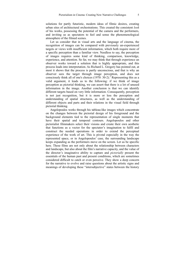solutions for partly futuristic, modern ideas of filmic desires, creating urban sites of architectural orchestrations. This created the consistent *look* of his works, possessing the potential of the camera and the performers, and inviting us as spectators to feel and sense the phenomenological atmosphere of the filmed scenes.

Let us consider that in visual arts and the language of cinema, the recognition of images can be compared with previously un-experienced targets or views with insufficient information, which both require more of a specific perception than a familiar view. Needless to say, the perception of images requires some kind of thinking, comparison, knowledge, experience, and attention. So far, we may think that through experience an observer works toward a solution that is highly appropriate, and this process leads into interpretation. As Richard L. Gregory has pointed out, at most it shows that the process is partly unconscious, and that is why an observer sees the target through image perception, and does not consciously think all of one's choices  $(1970: 30-2)$ .<sup>2</sup> Representing this as a valid argument, it leads us to the following: if we think of image perception as pictorial thinking, we can assert that there is a lot of unused information in the image. Another conclusion is that we can identify different targets based on very little information. Consequently, perception is not just recognition, but it is more or less the perception and understanding of spatial structures, as well as the understanding of different objects and parts and their relations in the visual field through pictorial thinking.

Angelopoulos works through his tableau-like images which concentrate on the changes between the pictorial design of his foreground and the background elements tied to the representation of single moments that have their spatial and temporal contours. Angelopoulos and other pictorialist filmmakers select their visions and create their own aesthetic that functions as a vector for the spectator's imagination to fulfil and construct the needed operations in order to extend the perceptual experience of the work of art. This is pivotal especially in the way the represented space, or in Angelopoulos' case, the surrounding landscape keeps expanding as the performers move on the screen. Let us be specific here. These films are not only about the relationship between characters and landscape, but also about the film's narrative capacity, and the value of the director's imaginative ability to capture and *pictorially* present the essentials of the human past and present conditions, which are sometimes considered difficult to catch or even perceive. They show a deep concern for the narrative to evolve and raise questions about the artistic signs and meanings of developing these "intersubjective" states between the history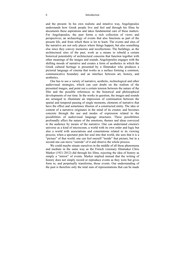and the present. In his own realistic and intuitive way, Angelopoulos understands how Greek people live and feel and through his films he documents these aspirations and takes fundamental care of these matters. For Angelopoulos, the past forms a rich collection of views and perspectives, an archaeology of events that also functions as part of the present life, and from which there is lot to learn. The events and sites of the narrative are not only places where things happen, but also something else since they convey memories and recollections. The buildings, as the architectural sites of the past, work as a means to rebuild a certain historical potentiality of architectural concerns that function together with other meanings of the images and sounds. Angelopoulos engages with the shifting moods of narrative and creates a form of aesthetics in which the Greek cultural heritage is presented by a filmmaker who produces a pictorial language of cinema that works as a surface forming a common, communicative boundary and an interface between art, history, and aesthetics.

One has to use a variety of narrative, aesthetic, technological and other audiovisual strategies, which can cast doubt on the realism of the presented images, and point out a certain tension between the nature of the film and the possible references to the historical and philosophical developments of our time. In the works in question, the images and sounds are arranged to illuminate an impression of continuation between the spatial and temporal passing of single moments, elements of narrative that have the effect and sometimes illusion of a constructed entity. The idea or content of a narrative originates in the mind of its creator, and becomes concrete through the use and modes of expression related to the possibilities of audiovisual language structures. These possibilities profoundly affect the nature of the emotions, themes and ideas conveyed to the audience by means of the narrative. One can understand cinema's universe as a kind of microcosm, a world with its own order and logic but also a world with associations and connotations related to its viewing process; when a spectator puts her soul into that world, she sees that it is a "picture" of that world; one can feel oneself "inside" that picture, but in a second one can move "outside" of it and observe the whole process.

We could maybe situate ourselves in the middle of all these phenomena and mediate in the same way as the French visionary filmmaker Chris Marker (1921-2012) did through his films, rejecting the idea of history as simply a "mirror" of events. Marker implied instead that the writing of history does not simply record or reproduce events as they were but gives form to, and perpetually transforms, those events. Our understanding of the past is therefore only the total sum of representations that can be made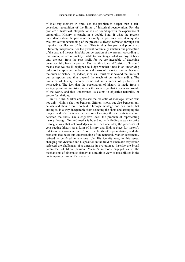of it at any moment in time. Yet, the problem is deeper than a selfconscious recognition of the limits of historical recuperation. For the problem of historical interpretation is also bound up with the experience of temporality. History is caught in a double bind; if what the present understands about the past is never simply the past as it was, it is equally true that our understanding of the present is always refracted through our imperfect recollection of the past. This implies that past and present are ultimately inseparable, for the present continually inhabits our perception of the past and the past inhabits our perception of the present. According to this vision, we are ultimately unable to disentangle what we project back onto the past from the past itself, for we are incapable of detaching ourselves fully from the present. Our inability to stand "outside of history" means that we are ill-equipped to judge whether there is an underlying order to the apparent randomness and chaos of historical events, because the order of history––if, indeed, it exists––must exist beyond the limits of our perception, and thus beyond the reach of our understanding. The problems of history become enmeshed in a series of problems of perspective. The fact that the observation of history is made from a vantage point within history relates the knowledge that it seeks to provide of the world, and thus undermines its claims to objective neutrality or secure foundations.

In his films, Marker emphasised the dialectic of montage, which was not only within a shot, or between different shots, but also between any details and their overall context. Through montage one can think that cutting is, in a way, inseparable from selecting the shots and arranging the images, and often it is also a question of staging the elements inside and between the shots. On a cognitive level, the problem of representing history through film and media is bound up with finding a way to write history, a way that acknowledges rather than occludes, the processes of constructing history as a form of history that finds a place for history's indeterminacies––in terms of both the limits of representation, and the problems that beset our understanding of the temporal. Marker consistently refused to be fixed in any one role. His identity was, in this sense, changing and dynamic and his position in the field of cinematic expression reflected the challenges of a cineaste in evolution to inscribe the broad parameters of filmic passion. Marker's methods engaged us in the mechanisms of cinematic display as a multiple view of possibilities in the contemporary terrain of visual arts.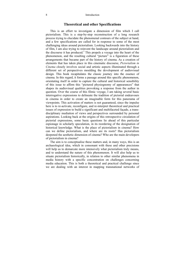#### **Theoretical and other Specifications**

This is an effort to investigate a dimension of film which I call pictorialism. This is a step-by-step reconstruction of a long research process trying to elucidate the phenomenal contours of the subject at hand, and a few specifications are called for in response to some of the most challenging ideas around pictorialism. Looking backwards into the history of film, I am also trying to reinvent the landscape around pictorialism and the discourse it has produced.<sup>3</sup> This propels a voyage into the heart of the phenomenon, and the resulting cultural "picture" is a figuration of these arrangements that became part of the history of cinema. As a creation of elements that has taken place in this cinematic discourse, *Pictorialism in Cinema* closely involves social and artistic aspects illuminated through a different set of perspectives moulding the development of audiovisual design. This book recapitulates the classic journey into the essence of cinema. In this regard, it forms a passage around this specific phenomenon, orientating itself in order to capture the cultural and historical sensibility of this issue to affirm this "pictured physiognomy of appearances" that shapes its audiovisual qualities provoking a response from the author in question. Over the course of this filmic voyage, I am taking several basic interrogative expressions to delineate the tradition of pictorial endeavours in cinema in order to create an imaginable form for this panorama of viewpoints. This activation of matters is not guaranteed, since the impulse here is to re-activate, reconfigure, and re-interpret theoretical and practical issues of expression to build a significant and multifaceted façade, a transdisciplinary mediation of views and perspectives surrounded by personal aspirations. Looking back at the origins of this retrospective circulation of pictorial expressions, some basic questions lie ahead of this particular espionage in scholarly speculation, in its reordering of the designation of historical knowledge. What is the place of pictorialism in cinema? How can we define pictorialism, and where are its roots? Has pictorialism deepened the aesthetic dimension of cinema? Who are the main developers of pictorialism in cinema?

The aim is to conceptualise these matters and, in many ways, this is an archaeological idea, which in consonant with these and other precisions will help us to demarcate more intensively what pictorialism truly means, and to understand the nature of this phenomenon. It will also help us to situate pictorialism historically, in relation to other similar phenomena in media history with a specific concentration on challenges concerning media education. This is both a theoretical and practical challenge since we are dealing with an interest in mapping transnational networks of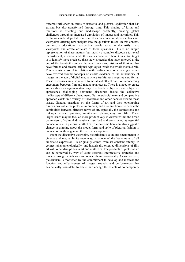different influences in terms of narrative and pictorial stylisation that has existed but also transformed through time. This shaping of forms and traditions is affecting our mediascape constantly, creating global challenges through an increased circulation of images and narratives. This evolution can be depicted from several media educational perspectives and viewpoints offering new insights into the questions raised. In this context, our media educational perspective would serve to demystify these viewpoints and create criticism of these questions. This is no simple representation of these matters, but mostly a complex discourse to reveal the historical, aesthetic, and other values concerned here. Our initial target is to identify more precisely these new strategies that have emerged at the end of the twentieth century, the new modes and visions of thinking that have formed and created original typologies inside the whole media circle. This analysis is useful in relation with media education challenges which have evolved around concepts of visible evidence of the authenticity of images in the age of digital media where truthfulness acquires new forms. These discourses are also related to moral and ethical questions concerning encounters between film and media apparatuses. There is a need to create and establish an argumentative logic that borders objective and subjective approaches challenging dominant discourses inside the collective mediascape of different phenomena. Our interdisciplinary and comparative approach exists in a variety of theoretical and other debates around these issues. General questions on the forms of art and their overlapping dimensions will clear pictorial inferences, and also ameliorate to define the continuities between different forms of art, especially the connections and linkages between painting, architecture, photography, and film. These larger issues may be tackled more productively if viewed within the broad parameters of cultural dimensions inscribed and constructed as essential connections with pictorial aesthetics. The outcome here can also suggest a change in thinking about the mode, form, and style of pictorial fashion in connection with its general theoretical viewpoints.

From the discursive viewpoint, pictorialism is a unique phenomenon in cinema and media. In its own way, it is one of the basic traits of all cinematic expression. Its originality comes from its constant attempt to connect phenomenologically- and historically-oriented dimensions of film art with other disciplines in art and aesthetics. The products of pictorialism can be perceived by way of using different interpretative strategies and models through which we can connect them theoretically. As we will see, pictorialism is motivated by the commitment to develop and increase the function and effectiveness of images, sounds, and performances that aesthetically formulate, translate, and change the effects of contemporary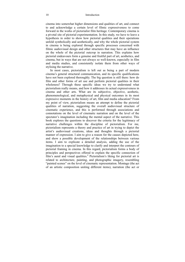cinema into somewhat higher dimensions and qualities of art, and connect to and acknowledge a certain level of filmic expressiveness to come forward in the works of pictorialist film heritage. Contemporary cinema is a pivotal site of pictorial experimentation. In this study, we have to leave a hypothesis in order to show how pictorial qualities and their operations unfold symbolically and aesthetically, and why the whole pictorial system in cinema is being explored through specific processes concerned with filmic audiovisual design and other structures that may have an influence on the whole of the pictorial outcrop in narration. This explains how pictorial endeavours form a genuine and fruitful part of art, aesthetics, and cinema, but in ways that are not always so well-known, especially in film and media studies, and consistently isolate them from other ways of stylising the narrative.

In most cases, pictorialism is left out as being a part of modern cinema's general structural communication, and its specific qualifications have not been explored thoroughly. The big question is still there: how do film and other forms of art use and perform pictorial qualities in their wholeness? Through these specific ideas we try to understand what pictorialism really means, and how it addresses its actual expressiveness in cinema and other arts. What are its subjective, objective, aesthetic, phenomenological, and metaphysical and physical outcomes in its most expressive moments in the history of art, film and media education? From my point of view, pictorialism means an attempt to define the pictorial qualities of narration, suggesting the overall audiovisual structure of cinematic experience, and this is performed through associations and connotations on the level of cinematic narration and on the level of the spectator's imagination including the mental aspect of the narrative. This book explores the questions to discover the criteria for the legitimacy of narrative challenges within the discipline of pictorialism. For me, pictorialism represents a theory and practice of art in trying to depict the artist's audiovisual creations, ideas and thoughts through a pictorial manner of expression. I aim to give a reason for the causes depicted here, and show a possible development of the relationships between various items. I aim to explicate a detailed analysis, adding the use of the imagination to a special knowledge to clarify and interpret the contours of pictorial framing in cinema. In this regard, pictorialism forms a body of principles and perspectives offered to explain the specific connection of film's aural and visual qualities.4 Pictorialism's liking for pictorial art is related to architecture, painting, and photographic imagery, resembling "painted scenes" on the level of cinematic representation. Montage (the act of an artistic composition uniting different items), narration (the act or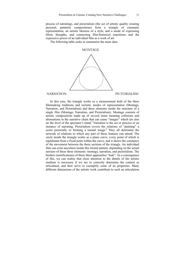process of narrating), and pictorialism (the act of artistic quality creating pictorial, painterly compositions) form a triangle of cinematic representation, an artistic likeness of a style, and a mode of expressing filmic thoughts, and connecting film-historical transitions and the expressive power of an individual film as a work of art.

The following table seeks to summarise the main idea:

#### **MONTAGE**



#### **NARRATION**

PICTORIALISM

In this case, the triangle works as a measurement both of the three filmmaking traditions and stylistic modes of representation (Montage, Narration, and Pictorialism) and three elements inside the structure of a single film (Montage, Narration, and Pictorialism). Montage consists of artistic compositions made up of several items meaning collisions and alternations in the narrative chain that can cause "images" which are also on the level of the spectator's mind.<sup>5</sup> Narration is the act or process or an instance of narrating. Pictorialism covers the relations of "painting" a scene pictorially or forming a mental image.<sup>6</sup> They all determine the network of relations to which any part of these features can attend. The circle inside the triangle works as a plane curve, every point of which is equidistant from a fixed point within the curve, and it shows the constancy of the movement between the three sections of the triangle. An individual film can exist anywhere inside this formal pattern, depending on the actual mixture of these three elements: montage, narration, and pictorialism. The borders (ramifications) of these three approaches "leak". As a consequence of this, we can realise that close attention to the details of the artistic medium is necessary if we are to correctly determine the content as articulated, and then serve to exemplify some of its properties. Many different dimensions of the artistic work contribute to such an articulation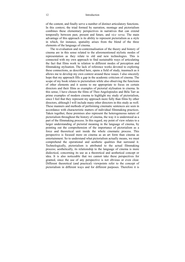of the content, and finally serve a number of distinct articulatory functions. In this context, the triad formed by narration, montage and pictorialism combines these elementary perspectives in narratives that can extend temporally between past, present and future, and *vice versa*. The main advantage of this approach is its ability to represent pictorialism as a style in which, for instance, spatiality arises from the blend of the three elements of the language of cinema.

The re-evaluation and re-contextualisation of the theory and history of cinema are in this sense related to the aforementioned stylistic modes of representation as they relate to old and new technologies. This is connected with my own approach to find sustainable ways of articulating the fact that films work in relation to different modes of perception and filmmaking stylisation. The lack of reference works devoted to exploring these connections, as described here, opens a field of study, inasmuch as it allows me to develop my own context around these issues. I also sincerely hope that my approach fills a gap in the academic criticism of cinema. The scope of my book relates to pictorialism while also observing the functions of other elements and it seems to me appropriate to focus on certain directors and their films as examples of pictorial stylisation in cinema. In this sense, I have chosen the films of Theo Angelopoulos and Béla Tarr as prime examples of modern cinema to highlight my study of pictorialism, since I feel that they represent my approach more fully than films by other directors, although I will include many other directors in this study as well. These manners and methods of performing cinematic sentences are seen in accordance with characteristic matters of individual filmmaking practices. Taken together, these premises also represent the heterogeneous nature of pictorialism throughout the history of cinema, the way it is understood as a part of the filmmaking process. In this regard, my point of view relates to a larger understanding of pictorial meaning in the language of cinema, by pointing out the comprehension of the importance of pictorialism as a force and theoretical unit inside the whole cinematic process. This perspective is focused more on cinema as an art form than cinema as entertainment. So to understand what pictorialism actually means, we must comprehend the operational and aesthetic qualities that surround it. Technologically, pictorialism is attributed to the actual filmmaking process; aesthetically, its relationship to the language of cinema is more dialectical, concerning its use as a theoretical and aesthetical concept or idea. It is also noticeable that we cannot take these perspectives for granted, since the use of any perspective is not obvious or even clear. Different theoretical (and practical) viewpoints refer to the concept of pictorialism in different ways and for different purposes. Therefore it is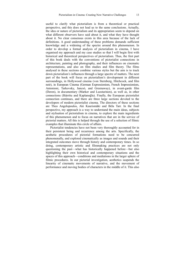useful to clarify what pictorialism is from a theoretical or practical perspective, and this does not lead us to the same conclusions. Actually, the idea or nature of pictorialism and its appropriation seem to depend on what different observers have said about it, and what they have thought about it. No clear consensus exists in this area because of the lack of definitions. A good understanding of these problems demands sufficient knowledge and a widening of the spectre around this phenomenon. In order to develop a formal analysis of pictorialism in cinema, I have organised my approach and my case studies so that I will begin first with historical and theoretical perspectives of pictorialism. Thus, the first part of this book deals with the conventions of pictorialist connections in architecture, painting and photography, and their influences on cinematic representations, and also on film studies and film theory. The films analysed in these sections combine various styles but the aim is to track down pictorialism's influences through a large spectre of matters. The next part of the book will focus on pictorialism's development in different surroundings, in Hollywood cinema (von Sternberg, Hitchcock, and film noir), in European Cinema (German Expressionism, French Impressionism, Antonioni, Tarkovsky, Jancsó, and Greenaway), in avant-garde film (Deren), in documentary (Marker and Luostarinen), as well as, in other connections (Iñárritu and Kaplanoğlu). Finally, the European pictorialist connection continues, and there are three large sections devoted to the developers of modern pictorialist cinema. The directors of these sections are Theo Angelopoulos, Aki Kaurismäki and Béla Tarr. In the final perspective, my approach is a way to understand the main ideas, subjects and stylisation of pictorialism in cinema, to explore the main ingredients of this phenomenon and to focus on narratives that are in the service of pictorial matters. All this is helped through the use of a selection of filmic examples that illuminate this circle of affairs.

Pictorialist tendencies have not been very thoroughly accounted for in their persistent being and recurrence among the arts. Specifically, the aesthetic procedures of pictorial formations need to be concurred phenomenally, and explored cinematically as images and sounds and their integrated outcomes move through history and contemporary times. In so doing, contemporary artistic and filmmaking practices are not only questioning the past––what has historically happened before––but also highlighting their own historical and contemporary situations and the spaces of this approach––conditions and mediations in the larger sphere of filmic procedures. In our pictorial investigation, aesthetics suspends the linearity of cinematic movements of narrative, and the movement of performance and moving bodies of characters in the middle of it. This also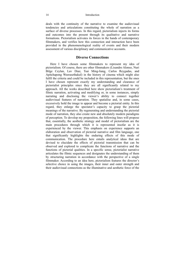deals with the continuity of the narrative to examine the audiovisual tendencies and articulations constituting the whole of narration as a surface of diverse processes. In this regard, pictorialism injects its forms and outcomes into the present through its qualitative and narrative formations. Pictorialism activates its forces in the hands of contemporary filmmakers, and verifies how this connection and interaction have been provided in the phenomenological reality of events and their modern assessment of various disciplinary and communicative accounts.

#### **Diverse Connections**

Here I have chosen some filmmakers to represent my idea of pictorialism. Of course, there are other filmmakers (Lisandro Alonso, Nuri Bilge Ceylan, Lav Diaz, Tsai Ming-liang, Carlos Reygadas, and Apitchapong Weerasethakul) in the history of cinema which might also fulfil the criteria and could be included in this representation, but the ones I have chosen represent exactly my understanding and clearance of pictorialist principles since they are all significantly related to my approach. All the works described here show pictorialism's treatment of filmic narration, activating and modifying or, in some instances, simply narrating and disclosing the viewer's ability to connect together audiovisual features of narration. They spatialise and, in some cases, excessively hold the image to appear and become a pictorial entity. In this regard, they enlarge the spectator's capacity to grasp the pictorial meanings of the narrative. By regenerating and understanding the pictorial mode of narration, they also create new and absolutely modern paradigms of perception. To develop my proposition, the following lines will propose that, essentially, the aesthetic strategy and model of pictorialism are the main procedures through which it is represented insofar as it is experienced by the viewer. This emphasis on experience supports an elaboration and observation of pictorial narrative and film language, one that significantly highlights the enduring effects of this mode of communication. The procedure here entails analytical ideas that are devised to elucidate the effects of pictorial transmission that can be observed and explored to complicate the functions of narrative and the functions of pictorial qualities. In a specific sense, pictorialist narrative articulates the filmic sequences and designates the understanding of them by structuring narration in accordance with the perspective of a single filmmaker. According to an idea here, pictorialism features the director's selective choice in using the images, their inner and outer strength and their audiovisual connections as the illuminative and aesthetic force of the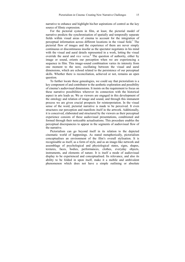narrative to enhance and highlight his/her aspirations of control as the key source of filmic expression.

For the pictorial system in film, at least, the pictorial model of narrative predicts the synchronisation of spatially and temporally separate fields within visual areas of cinema to account for the integration of perceptual information across different locations in the visual field.<sup>7</sup> The pictorial flow of images and the experience of them are never simply continuous or discontinuous insofar as the spectator negotiates in his mind with the visual and aural details represented in a work, letting the visual override the aural and *vice versa*. 8 The question of authority, either by image or sound, orients our perception when we are experiencing a sequence in film. This image-sound combination varies its intensity from one moment to the next, oscillating between the visual and aural dimensions, which are echoed related to the persistence of our perceptual skills. Whether there is reconciliation, achieved or not, remains an open question.

To further locate these genealogies, we could say that pictorialism is a key component of and contributor to the aesthetic exploration and possibility of cinema's audiovisual dimensions. It insists on the requirement to focus on these narrative possibilities wherever its connection with the historical aspect in arts leads us. We as viewers are engaged in this development of the ontology and relation of image and sound, and through this immanent process we are given crucial prospects for reinterpretation. In the visual sense of the word, pictorial narrative is made to be perceived. It even structures our perception and manifests itself in the artwork. Additionally, it is conceived, elaborated and structured by the viewers as their perceptual experience consists of these audiovisual presentations, conditioned and formed through their noticeable actualisations. This procedure enables the perceptual discrepancies to appear in the segments of audiovisual flow of the narrative.

Pictorialism can go beyond itself in its relation to the depicted cinematic world of happenings. As stated metaphorically, pictorialism conceptualises an environment of the film's overall stylisation. It is recognisable as itself, as a form of style, and as an image-like network and assemblage of psychological and physiological states, signs, shapes, textures, faces, bodies, performances, clothes, everyday objects, instruments, and elements of nature. It is itself a mode of audiovisual display to be experienced and conceptualised. Its relevance, and also its ability to be folded in upon itself, make it a mobile and ambivalent phenomenon which does not have a simple outlining or absolute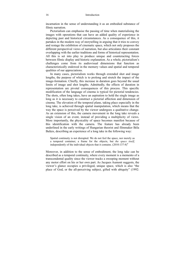incarnation in the sense of understanding it as an embodied substance of filmic narration.

Pictorialism can emphasise the passing of time when materialising the images with operations that can have an added quality of experience in depicting past and historical circumstances. As a consequence of this, it partakes in the modern way of storytelling in arguing that it tries to convey and restage the exhibition of cinematic space, which not only proposes the different perspectival views of narration, but also articulates their constant overlapping with the earlier traditions and forms of historical representation. All this is set into play to produce unique and counteracting forces between filmic display and historic explanation. As a whole, pictorialism's challenges come from its audiovisual dimensions that function as characteristically endowed in the memory values and spatial and temporal qualities of our appreciations.

In many cases, pictorialism works through extended shot and image lengths, the purpose of which is to prolong and stretch the impact of the image-formation. Chiefly, this increase in duration goes beyond the usual limits of image and shot lengths. Admittedly, the effects of duration in representation are pivotal consequences of this process. This specific modification of the language of cinema is typical for pictorial tendencies. The shots, often long takes, have an aspiration to hold the single image as long as it is necessary to construct a pictorial affection and dimension of cinema. The elevation of the temporal plane, taking place especially in the long take, is achieved through spatial manipulation, which means that the way the space is perceived by the viewer undergoes a qualitative change. As an extension of this, the camera movement in the long take reveals a single vision of an event, instead of providing a multiplicity of views. More importantly, the physicality of space becomes manifest because of this identification with the camera. The feature has already been underlined in the early writings of Hungarian theorist and filmmaker Béla Balázs, describing an experience of a long take in the following way:

Spatial continuity is not disrupted. We do not feel the space, nor merely as a temporal container, a frame for the objects, but *the space itself*, independently of the individual objects that it contains.  $(2010:137-8)^9$ 

Moreover, in addition to the sense of embodiment, the long take can be described as a temporal continuity, where every moment is a memento of a transcendental quality since the viewer tracks a sweeping moment without any motor effort on his or her own part. As Jacques Aumont suggests, the viewer's glance occupies a privileged, unique space, which is also "the place of God, or the all-perceiving subject, gifted with ubiquity" (1992: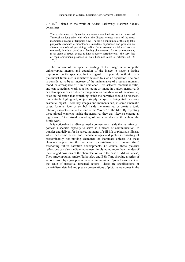$214-5$ ).<sup>10</sup> Related to the work of Andrei Tarkovsky, Nariman Skakov determines:

The spatio-temporal dynamics are even more intricate in the renowned Tarkovskian long take, with which the director created some of the most memorable images of temporal flow. The single continuum of the long take purposely stretches a monotonous, mundane experience and provides an alternative mode of perceiving reality. Once external spatial markers are removed, time is exposed as a fleeting phenomenon. Action or movement, as an agent of space, ceases to have a purely narrative end––the very fact of their continuous presence in time becomes more significant. (2012:  $125$ <sup>11</sup>

The purpose of the specific holding of the image is to keep the uninterrupted interest and attention of the image to make a lasting impression on the spectator. In this regard, it is possible to think that a pictorialist filmmaker is somehow devoted to such an aspiration. The hold is considered to be an increase of the maintenance of a certain moment, mood, or atmosphere of filmic ambience. This selected moment is valid, and can sometimes work as a key point or image in a given narrative. It can also appear as an ordered arrangement or qualification of the narrative, or as an indication that something inside the narrative should be reserved, momentarily highlighted, or just simply delayed to bring forth a strong aesthetic impact. These key images and moments can, in some cinematic cases, form an idea or symbol inside the narrative, or create a tonic relation, characteristic to the tone of the "voice" of the film. By repeating these pivotal elements inside the narrative, they can likewise emerge as regulators of the visual spreading of narrative devices throughout the filmic work.

It is noticeable that diverse media connections inside the narrative can possess a specific capacity to serve as a means of communication, to transfer and deliver, for instance, moments of still-life or pictorial stillness, which can come across and mediate images and pictures consisting of predominantly non-moving characters or inanimate objects. As these elements appear in the narrative, pictorialism also renews itself, foreboding future narrative developments. Of course, these pictorial reflections can also mediate movement, implying no more than the idea of the changed positions of the characters or, as in the case of Miklós Jancsó, Theo Angelopoulos, Andrei Tarkovsky, and Béla Tarr, showing a series of actions taken by a group to achieve an impression of joined movement on the scale of narrative, repeated actions. These are specifications of pictorialism, detailed and precise presentations of pictorial outcomes in the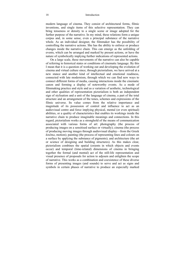modern language of cinema. They consist of architectural forms, filmic inventions, and single items of this selective representation. They can bring tenseness or density to a single scene or image adopted for the further purpose of the narrative. In my mind, these relations form a unique corpus and, in some sense, even a principal substance of the narrative whole. As an individual designer, the filmmaker has the possibility of controlling the narrative actions. She has the ability to enforce or produce changes inside the narrative chain. This can emerge as the unfolding of events, which can be arranged and marked by present actions, or have the nature of symbolically implying further indications of represented actions.

On a large scale, these movements of the narrative can also be capable of referring to historical states or conditions of cinematic language. By this I mean that it is a question of working out and developing the evolution of cinema and virtual culture since, through pictorialism, we have arrived at a new stance and another kind of intellectual and emotional readiness, connected with late modernism, through which we can find new ways to connect different forms of media, causing interactions inside the cinematic canon and forming a display of noteworthy events. As a mode of filmmaking practice and style and as a variation of aesthetic, technological and other qualities of representation pictorialism is both an independent sign of stylisation and a unit of the language of cinema, a part of the total structure and an arrangement of the tones, schemes and expressions of the filmic universe. Its value comes from the relative importance and magnitude of its possession of control and influence to act as an audiovisual centre and force implying physical, mental (or even spiritual) abilities, or a quality of characteristics that enables its workings inside the narrative chain to produce imaginable meanings and connections. In this regard, pictorialism works as a stronghold of the means of communication associated with various forms of art: photography (the process of producing images on a sensitised surface or virtually); cinema (the process of producing moving images through audiovisual display––from the Greek *kinëma*, motion); painting (the process of representing lines and colours on a surface by applying the substance of pigments); and architecture (the art or science of designing and building structures). As this makes clear, pictorialism combines the spatial (extents in which objects and events occur) and temporal (time-related) dimensions of cinema in bringing together the formal (and mental) act of the still-life representation and visual presence of proposals for action to adjourn and enlighten the scope of narrative. This works as a combination and coexistence of these diverse forms of presenting images (and sounds) to serve and act as signs and symbols in certain phases of narrative to produce an especially marked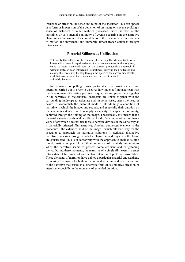influence or effect on the sense and mind of the spectator. This can appear as a form or impression of the depiction of an image or a scene evoking a sense of historical or other realities processed under the skin of the narrative; or as a mental continuity of events occurring in the narrative chain. As a conclusion to these modulations, the tension between instances of motion and movement and immobile almost frozen action is brought into existence.

#### **Pictorial Stillness as Unification**

Yet, surely the stillness of the camera (like the equally artificial tricks of a kinesthetic camera in rapid varieties of a movement) must, in the long run, come to seem mannered here as the distant protagonists approach it without haste, with an intolerable leisureliness, carrying their suitcases and making their way step-by-step through the space of the narrow city streets, as if that slowness and that movement were an event in itself<sup>12</sup> —Fredric Jameson

In its many compelling forms, pictorialism can work as a filmic operation carried out in order to discover how much a filmmaker can trust the development of creating picture-like qualities and piece them together in the narrative. In pictorialism, characters are linked together with the surrounding landscape to articulate and, in some cases, stress the need or desire to accomplish the pictorial mode of storytelling: a condition of narrative in which the images and sounds, and especially their duration on the screen is extended as if to imply a capacity of a specific continuity, achieved through the holding of the image. Theoretically this means that a pictorial narrative deals with a different kind of continuity-structure than a work of art which does not use these cinematic devices in the same way as a pictorially-oriented film narrative. Another connected element is the procedure––the extended hold of the image––which allows a way for the spectator to approach the narrative solutions. It activates distinctive narrative processes through which the characters and objects in the frame are constructed. This is in conformity with the approach to enclose as little transformation as possible in these moments of painterly impressions when the narrative seems to possess some efficient and enlightening views. During these moments, the narrative of a single film seems to enter into a state of fulfilment of an affective intention of pictorial possibilities. These elements of narration have gained a particular material and aesthetic expression that may refer both to the internal structure and external outline of the narrative that establish a cinematic form of assimilative direction of attention, especially in the moments of extended duration.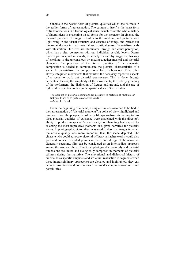Cinema is the newest form of pictorial qualities which has its roots in the earlier forms of representation. The camera in itself is the latest form of transformations in a technological sense, which cover the whole history of figural ideas in presenting visual forms for the spectator. In cinema, the pictorial presence of things is built into the medium, and pictures with light bring in the visual structure and essence of things and reflect our innermost desires in their material and spiritual sense. Pictorialism deals with illustration. Our lives are illuminated through our visual perception, which has a clear connection with our individual psychic levels. Drama lives in pictures, and in sounds, as already realised by Wagner in his way of speaking to the unconscious by mixing together musical and pictorial elements. The precision of the formal qualities of the cinematic composition is needed to communicate the pictorial characteristics of a scene. In pictorialism, the compositional force is born out of the often slowly integrated movements that manifest the necessary repetitive aspects of a scene to work out pictorial controversy. This is done through perceptual factors; the simplicity of the movements, the orderly grouping of the performers, the distinction of figures and ground, and the use of light and perspective to design the spatial values of the narrative.

The account of pictorial seeing applies as easily to pictures of mythical or fictional kinds as to pictures of actual kinds. $^{13}$ —Malcolm Budd

From the beginning of cinema, a single film was assumed to be tied to the representation of "pictorial moments", a point-of-view highlighted and produced from the perspective of early film-journalism. According to this idea, pictorial qualities of existence were associated with the director's ability to produce images of "visual beauty" or "haunting landscapes" by selecting the most impressive moments in a given narrative for pictorial views. In photography, pictorialism was used to describe images in which the artistic quality was more important than the scene depicted. The cineaste who could advocate pictorial *stillness* in his/her works, could also gain and connect extended powers in the overall design of the narrative. Generally speaking, film can be considered as an intermediate approach among the arts, and the architectural, photographic, painterly and pictorial dimensions are united and dialogically composed in moments of pictorial stillness during the narrative. The evolutional and dialectical history of cinema has a specific emphasis and structural realisation in segments when these interdisciplinary approaches are elevated and highlighted; they can become inventions and conventions of a broader comprehension of filmic possibilities.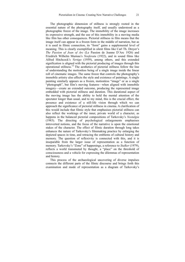The photographic dimension of stillness is strongly rooted in the essential nature of the photography itself, and usually understood as a photographic freeze of the image. The immobility of the image increases its expressive strength, and the use of this immobility in a moving media like film has other consequences. Pictorial stillness in film means that the image itself can appear in a frozen form in the middle of narration, but as it is used in filmic connection, its "form" gains a supplemental level of meaning. This is clearly exemplified in silent films like Carl Th. Dreyer's *The Passion of Joan of Arc* (Le Passion de Jeanne D'Arc 1926) and Friedrich Wilhelm Murnau's *Nosferatu* (1922), and in sound films like Alfred Hitchcock's *Vertigo* (1959), among others, and this extended signification is aligned with the pictorial producing of images through this operational stillness.14 The aesthetics of pictorial stillness follow the line of understanding the motionless being of a single image inside the linear roll of cinematic images. The same freeze that controls the photography's immobile artistry also affects the style and existence of paintings. A single painting similarly appears as a frozen, motionless "image" or as a single "photograph", but film's moving features––when aligned with immobile imagery––create an extended outcome, producing the represented image embedded with pictorial stillness and duration. This durational aspect of the moving image has the ability to hold the mental attention of the spectator longer than usual, and to my mind, this is the crucial effect, the presence and existence of a still-life vision through which we can approach the significance of pictorial stillness in cinema. A clarification of this would include that filmic style that emphasises pictorial stillness can also reflect the workings of the inner, private world of a character, as happens in the balanced pictorial compositions of Tarkovsky's *Nostalgia* (1983). The directing of psychological enlargements emphasises introverted notions, and the focus of the narrative is upon the emotional stakes of the character. The effect of filmic duration through long takes enhances the nature of Tarkovsky's filmmaking practice by enlarging the depicted spaces in time, and retracing the emblems of cultural history and memory. The question of reflexivity is connected with this, and it is inseparable from the larger issue of representation as a function of memory. Tarkovsky's "Zone" of happenings, a reference to *Stalker* (1979), reflects a world transmuted by thought, a "place" on the threshold of consciousness and a vehicle for expressing the dilemmas of representation and history.

This process of the archaeological uncovering of diverse impulses connects the different parts of the filmic discourse and brings forth this examination and mode of representation as a diagram of Tarkovsky's